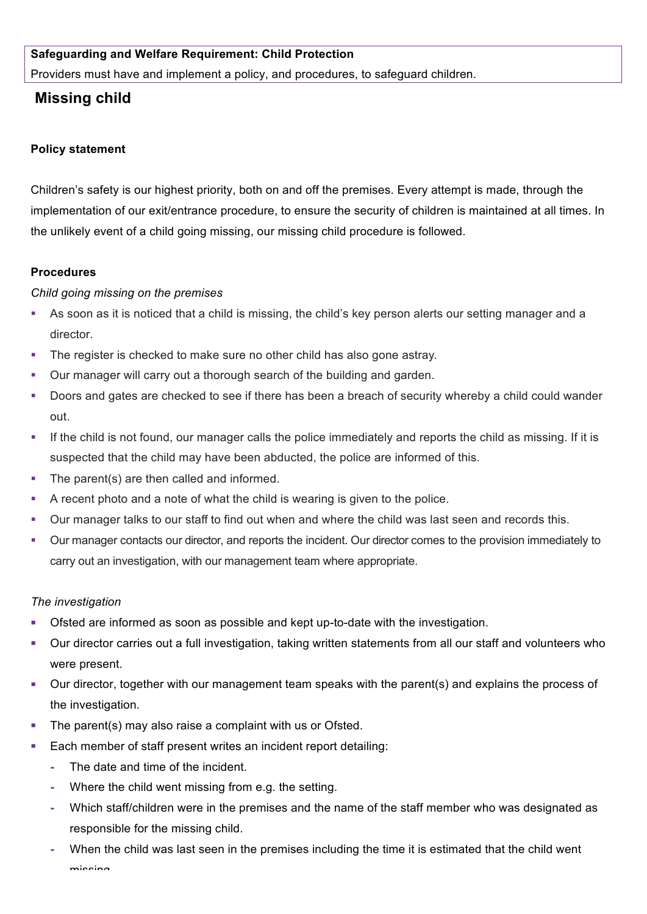## **Safeguarding and Welfare Requirement: Child Protection**

Providers must have and implement a policy, and procedures, to safeguard children.

# **Missing child**

#### **Policy statement**

Children's safety is our highest priority, both on and off the premises. Every attempt is made, through the implementation of our exit/entrance procedure, to ensure the security of children is maintained at all times. In the unlikely event of a child going missing, our missing child procedure is followed.

#### **Procedures**

### *Child going missing on the premises*

- As soon as it is noticed that a child is missing, the child's key person alerts our setting manager and a director.
- The register is checked to make sure no other child has also gone astray.
- § Our manager will carry out a thorough search of the building and garden.
- § Doors and gates are checked to see if there has been a breach of security whereby a child could wander out.
- If the child is not found, our manager calls the police immediately and reports the child as missing. If it is suspected that the child may have been abducted, the police are informed of this.
- The parent(s) are then called and informed.
- § A recent photo and a note of what the child is wearing is given to the police.
- Our manager talks to our staff to find out when and where the child was last seen and records this.
- § Our manager contacts our director, and reports the incident. Our director comes to the provision immediately to carry out an investigation, with our management team where appropriate.

#### *The investigation*

- Ofsted are informed as soon as possible and kept up-to-date with the investigation.
- Our director carries out a full investigation, taking written statements from all our staff and volunteers who were present.
- Our director, together with our management team speaks with the parent(s) and explains the process of the investigation.
- The parent(s) may also raise a complaint with us or Ofsted.
- Each member of staff present writes an incident report detailing:
	- **-** The date and time of the incident.
	- **-** Where the child went missing from e.g. the setting.
	- **-** Which staff/children were in the premises and the name of the staff member who was designated as responsible for the missing child.
	- **-** When the child was last seen in the premises including the time it is estimated that the child went minning